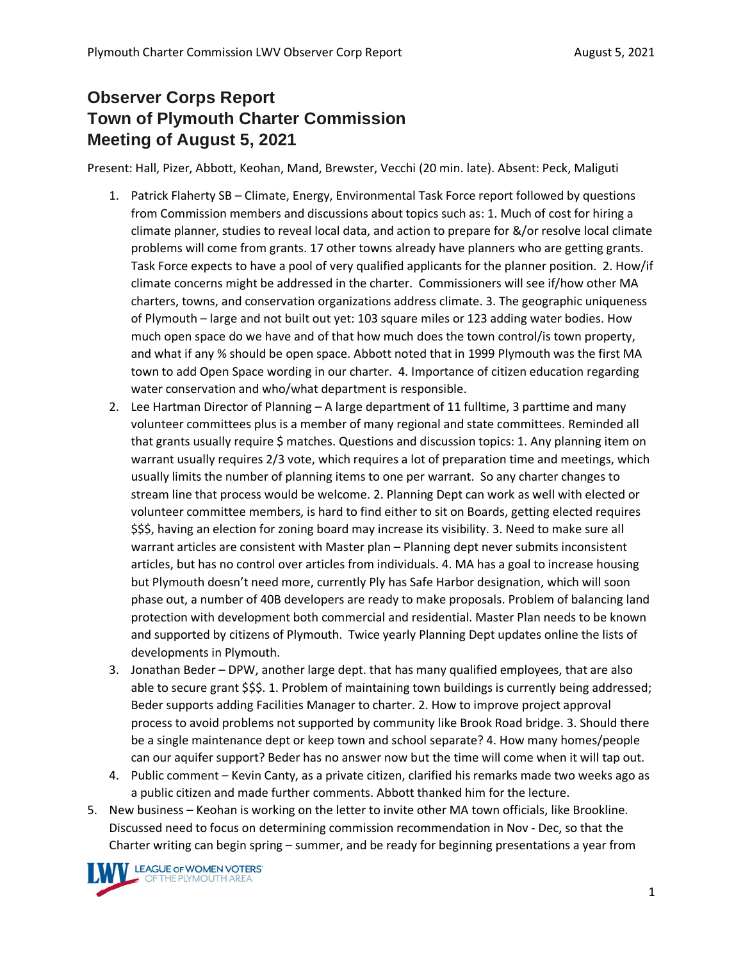## **Observer Corps Report Town of Plymouth Charter Commission Meeting of August 5, 2021**

Present: Hall, Pizer, Abbott, Keohan, Mand, Brewster, Vecchi (20 min. late). Absent: Peck, Maliguti

- 1. Patrick Flaherty SB Climate, Energy, Environmental Task Force report followed by questions from Commission members and discussions about topics such as: 1. Much of cost for hiring a climate planner, studies to reveal local data, and action to prepare for &/or resolve local climate problems will come from grants. 17 other towns already have planners who are getting grants. Task Force expects to have a pool of very qualified applicants for the planner position. 2. How/if climate concerns might be addressed in the charter. Commissioners will see if/how other MA charters, towns, and conservation organizations address climate. 3. The geographic uniqueness of Plymouth – large and not built out yet: 103 square miles or 123 adding water bodies. How much open space do we have and of that how much does the town control/is town property, and what if any % should be open space. Abbott noted that in 1999 Plymouth was the first MA town to add Open Space wording in our charter. 4. Importance of citizen education regarding water conservation and who/what department is responsible.
- 2. Lee Hartman Director of Planning A large department of 11 fulltime, 3 parttime and many volunteer committees plus is a member of many regional and state committees. Reminded all that grants usually require \$ matches. Questions and discussion topics: 1. Any planning item on warrant usually requires 2/3 vote, which requires a lot of preparation time and meetings, which usually limits the number of planning items to one per warrant. So any charter changes to stream line that process would be welcome. 2. Planning Dept can work as well with elected or volunteer committee members, is hard to find either to sit on Boards, getting elected requires \$\$\$, having an election for zoning board may increase its visibility. 3. Need to make sure all warrant articles are consistent with Master plan – Planning dept never submits inconsistent articles, but has no control over articles from individuals. 4. MA has a goal to increase housing but Plymouth doesn't need more, currently Ply has Safe Harbor designation, which will soon phase out, a number of 40B developers are ready to make proposals. Problem of balancing land protection with development both commercial and residential. Master Plan needs to be known and supported by citizens of Plymouth. Twice yearly Planning Dept updates online the lists of developments in Plymouth.
- 3. Jonathan Beder DPW, another large dept. that has many qualified employees, that are also able to secure grant \$\$\$. 1. Problem of maintaining town buildings is currently being addressed; Beder supports adding Facilities Manager to charter. 2. How to improve project approval process to avoid problems not supported by community like Brook Road bridge. 3. Should there be a single maintenance dept or keep town and school separate? 4. How many homes/people can our aquifer support? Beder has no answer now but the time will come when it will tap out.
- 4. Public comment Kevin Canty, as a private citizen, clarified his remarks made two weeks ago as a public citizen and made further comments. Abbott thanked him for the lecture.
- 5. New business Keohan is working on the letter to invite other MA town officials, like Brookline. Discussed need to focus on determining commission recommendation in Nov - Dec, so that the Charter writing can begin spring – summer, and be ready for beginning presentations a year from